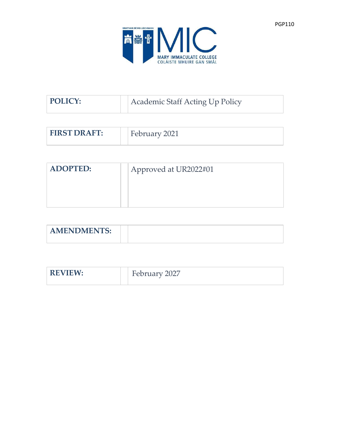

| <b>POLICY:</b> | Academic Staff Acting Up Policy |
|----------------|---------------------------------|
|                |                                 |

| <b>FIRST DRAFT:</b> | February 2021 |  |
|---------------------|---------------|--|
|                     |               |  |

| <b>ADOPTED:</b> | Approved at UR2022#01 |
|-----------------|-----------------------|
|                 |                       |
|                 |                       |

| <b>AMENDMENTS</b><br>AIVILINDIVILIN 10. |  |
|-----------------------------------------|--|

| <b>REVIEW</b><br>$\mathbf{M}$ | $\Omega$<br>−<br>$r$ 112 $r$ v $\sim$<br>וימם י<br>⊢<br>∠∪∠<br>$1$ correct |
|-------------------------------|----------------------------------------------------------------------------|
|                               |                                                                            |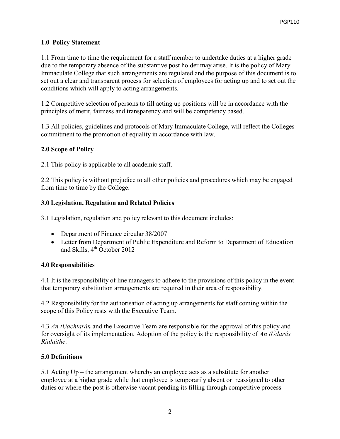## **1.0 Policy Statement**

1.1 From time to time the requirement for a staff member to undertake duties at a higher grade due to the temporary absence of the substantive post holder may arise. It is the policy of Mary Immaculate College that such arrangements are regulated and the purpose of this document is to set out a clear and transparent process for selection of employees for acting up and to set out the conditions which will apply to acting arrangements.

1.2 Competitive selection of persons to fill acting up positions will be in accordance with the principles of merit, fairness and transparency and will be competency based.

1.3 All policies, guidelines and protocols of Mary Immaculate College, will reflect the Colleges commitment to the promotion of equality in accordance with law.

## **2.0 Scope of Policy**

2.1 This policy is applicable to all academic staff.

2.2 This policy is without prejudice to all other policies and procedures which may be engaged from time to time by the College.

### **3.0 Legislation, Regulation and Related Policies**

3.1 Legislation, regulation and policy relevant to this document includes:

- Department of Finance circular 38/2007
- Letter from Department of Public Expenditure and Reform to Department of Education and Skills, 4<sup>th</sup> October 2012

### **4.0 Responsibilities**

4.1 It is the responsibility of line managers to adhere to the provisions of this policy in the event that temporary substitution arrangements are required in their area of responsibility.

4.2 Responsibility for the authorisation of acting up arrangements for staff coming within the scope of this Policy rests with the Executive Team.

4.3 *An tUachtarán* and the Executive Team are responsible for the approval of this policy and for oversight of its implementation. Adoption of the policy is the responsibility of *An tÚdarás Rialaithe*.

### **5.0 Definitions**

5.1 Acting Up – the arrangement whereby an employee acts as a substitute for another employee at a higher grade while that employee is temporarily absent or reassigned to other duties or where the post is otherwise vacant pending its filling through competitive process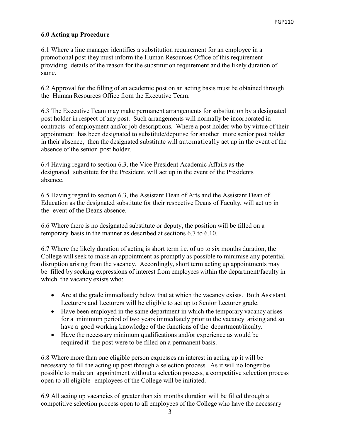#### **6.0 Acting up Procedure**

6.1 Where a line manager identifies a substitution requirement for an employee in a promotional post they must inform the Human Resources Office of this requirement providing details of the reason for the substitution requirement and the likely duration of same.

6.2 Approval for the filling of an academic post on an acting basis must be obtained through the Human Resources Office from the Executive Team.

6.3 The Executive Team may make permanent arrangements for substitution by a designated post holder in respect of any post. Such arrangements will normally be incorporated in contracts of employment and/or job descriptions. Where a post holder who by virtue of their appointment has been designated to substitute/deputise for another more senior post holder in their absence, then the designated substitute will automatically act up in the event of the absence of the senior post holder.

6.4 Having regard to section 6.3, the Vice President Academic Affairs as the designated substitute for the President, will act up in the event of the Presidents absence.

6.5 Having regard to section 6.3, the Assistant Dean of Arts and the Assistant Dean of Education as the designated substitute for their respective Deans of Faculty, will act up in the event of the Deans absence.

6.6 Where there is no designated substitute or deputy, the position will be filled on a temporary basis in the manner as described at sections 6.7 to 6.10.

6.7 Where the likely duration of acting is short term i.e. of up to six months duration, the College will seek to make an appointment as promptly as possible to minimise any potential disruption arising from the vacancy. Accordingly, short term acting up appointments may be filled by seeking expressions of interest from employees within the department/faculty in which the vacancy exists who:

- Are at the grade immediately below that at which the vacancy exists. Both Assistant Lecturers and Lecturers will be eligible to act up to Senior Lecturer grade.
- Have been employed in the same department in which the temporary vacancy arises for a minimum period of two years immediately prior to the vacancy arising and so have a good working knowledge of the functions of the department/faculty.
- Have the necessary minimum qualifications and/or experience as would be required if the post were to be filled on a permanent basis.

6.8 Where more than one eligible person expresses an interest in acting up it will be necessary to fill the acting up post through a selection process. As it will no longer be possible to make an appointment without a selection process, a competitive selection process open to all eligible employees of the College will be initiated.

6.9 All acting up vacancies of greater than six months duration will be filled through a competitive selection process open to all employees of the College who have the necessary